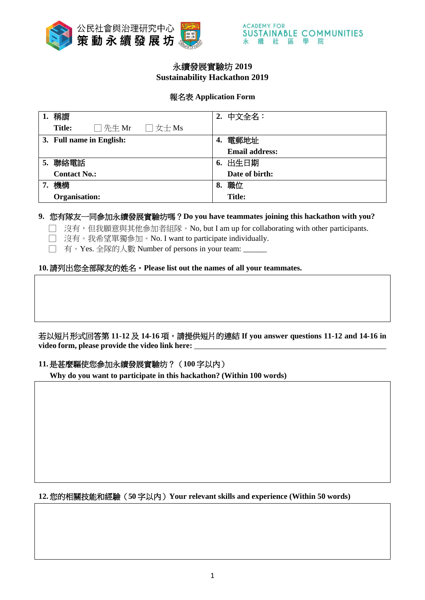

# 永續發展實驗坊 **2019 Sustainability Hackathon 2019**

## 報名表 **Application Form**

| 稱謂<br>1.                                                | 中文全名:<br>2.           |
|---------------------------------------------------------|-----------------------|
| $\Box$ 先生 Mr<br>$\Box \nexists x + Ms$<br><b>Title:</b> |                       |
| 3. Full name in English:                                | 電郵地址<br>4.            |
|                                                         | <b>Email address:</b> |
| 聯絡電話<br>5.                                              | 6. 出生日期               |
| <b>Contact No.:</b>                                     | Date of birth:        |
| 機構<br>7.                                                | 職位<br>8.              |
| Organisation:                                           | <b>Title:</b>         |

## **9.** 您有隊友一同參加永續發展實驗坊嗎?**Do you have teammates joining this hackathon with you?**

□ 沒有,但我願意與其他參加者組隊。No, but I am up for collaborating with other participants.

- □ 沒有。我希望單獨參加。No. I want to participate individually.
- □ 有。Yes. 全隊的人數 Number of persons in your team: \_\_\_\_\_\_

## **10.**請列出您全部隊友的姓名。**Please list out the names of all your teammates.**

若以短片形式回答第 **11-12** 及 **14-16** 項,請提供短片的連結 **If you answer questions 11-12 and 14-16 in**  video form, please provide the video link here:

## **11.**是甚麼驅使您參加永續發展實驗坊?(**100** 字以內)

**Why do you want to participate in this hackathon? (Within 100 words)** 

## **12.**您的相關技能和經驗(**50** 字以內)**Your relevant skills and experience (Within 50 words)**